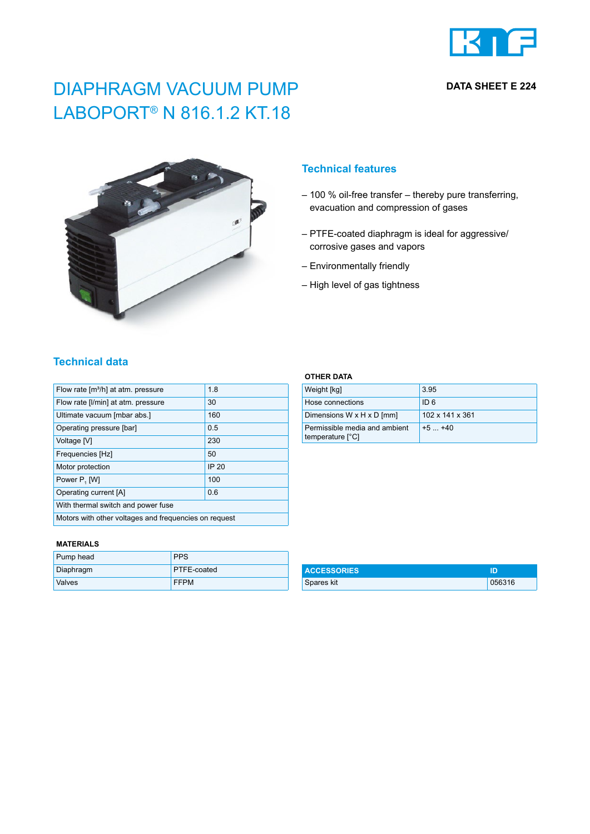

## **DATA SHEET E 224**

# DIAPHRAGM VACUUM PUMP LABOPORT® N 816.1.2 KT.18



## **Technical features**

- 100 % oil-free transfer thereby pure transferring, evacuation and compression of gases
- PTFE-coated diaphragm is ideal for aggressive/ corrosive gases and vapors
- Environmentally friendly
- High level of gas tightness

## **Technical data**

| Flow rate [m <sup>3</sup> /h] at atm. pressure        | 1.8          |  |
|-------------------------------------------------------|--------------|--|
| Flow rate [I/min] at atm. pressure                    | 30           |  |
| Ultimate vacuum [mbar abs.]                           | 160          |  |
| Operating pressure [bar]                              | 0.5          |  |
| Voltage [V]                                           | 230          |  |
| Frequencies [Hz]                                      | 50           |  |
| Motor protection                                      | <b>IP 20</b> |  |
| Power P, [W]                                          | 100          |  |
| Operating current [A]                                 | 0.6          |  |
| With thermal switch and power fuse                    |              |  |
| Motors with other voltages and frequencies on request |              |  |

#### **MATERIALS**

| Pump head     | <b>PPS</b>         |
|---------------|--------------------|
| Diaphragm     | <b>PTFE-coated</b> |
| <b>Valves</b> | <b>FFPM</b>        |

### **OTHER DATA**

| Weight [kg]                                       | 3.95            |
|---------------------------------------------------|-----------------|
| Hose connections                                  | ID 6            |
| Dimensions W x H x D [mm]                         | 102 x 141 x 361 |
| Permissible media and ambient<br>temperature [°C] | $+5$ $+40$      |

| <b>ACCESSORIES</b> | חו     |
|--------------------|--------|
| Spares kit         | 056316 |